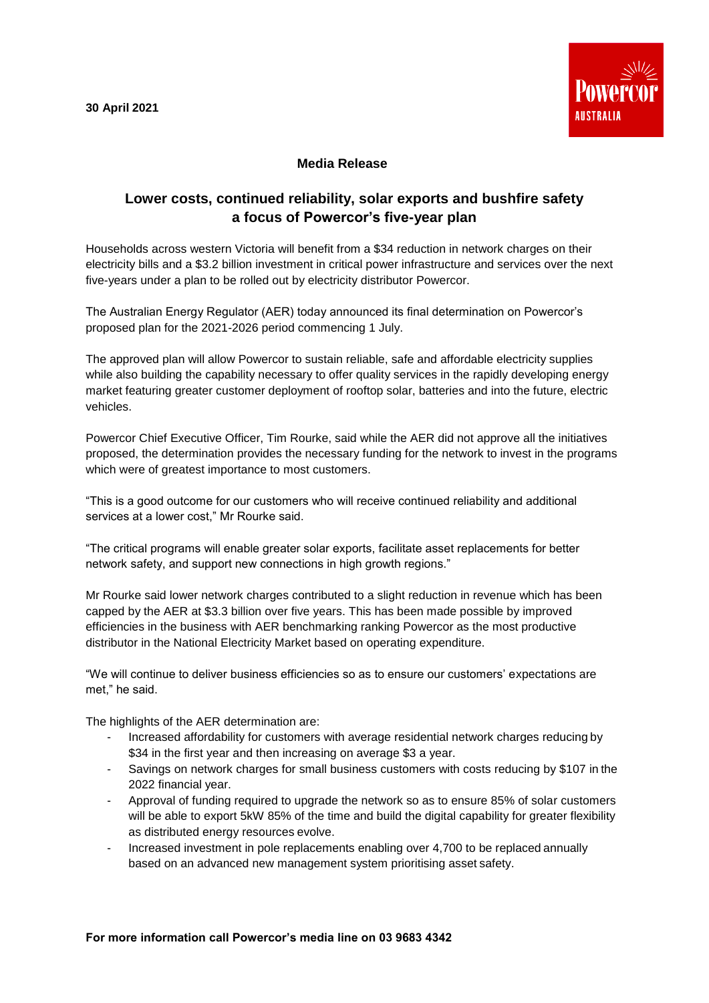

## **Media Release**

## **Lower costs, continued reliability, solar exports and bushfire safety a focus of Powercor's five-year plan**

Households across western Victoria will benefit from a \$34 reduction in network charges on their electricity bills and a \$3.2 billion investment in critical power infrastructure and services over the next five-years under a plan to be rolled out by electricity distributor Powercor.

The Australian Energy Regulator (AER) today announced its final determination on Powercor's proposed plan for the 2021-2026 period commencing 1 July.

The approved plan will allow Powercor to sustain reliable, safe and affordable electricity supplies while also building the capability necessary to offer quality services in the rapidly developing energy market featuring greater customer deployment of rooftop solar, batteries and into the future, electric vehicles.

Powercor Chief Executive Officer, Tim Rourke, said while the AER did not approve all the initiatives proposed, the determination provides the necessary funding for the network to invest in the programs which were of greatest importance to most customers.

"This is a good outcome for our customers who will receive continued reliability and additional services at a lower cost," Mr Rourke said.

"The critical programs will enable greater solar exports, facilitate asset replacements for better network safety, and support new connections in high growth regions."

Mr Rourke said lower network charges contributed to a slight reduction in revenue which has been capped by the AER at \$3.3 billion over five years. This has been made possible by improved efficiencies in the business with AER benchmarking ranking Powercor as the most productive distributor in the National Electricity Market based on operating expenditure.

"We will continue to deliver business efficiencies so as to ensure our customers' expectations are met," he said.

The highlights of the AER determination are:

- Increased affordability for customers with average residential network charges reducing by \$34 in the first year and then increasing on average \$3 a year.
- Savings on network charges for small business customers with costs reducing by \$107 in the 2022 financial year.
- Approval of funding required to upgrade the network so as to ensure 85% of solar customers will be able to export 5kW 85% of the time and build the digital capability for greater flexibility as distributed energy resources evolve.
- Increased investment in pole replacements enabling over 4,700 to be replaced annually based on an advanced new management system prioritising asset safety.